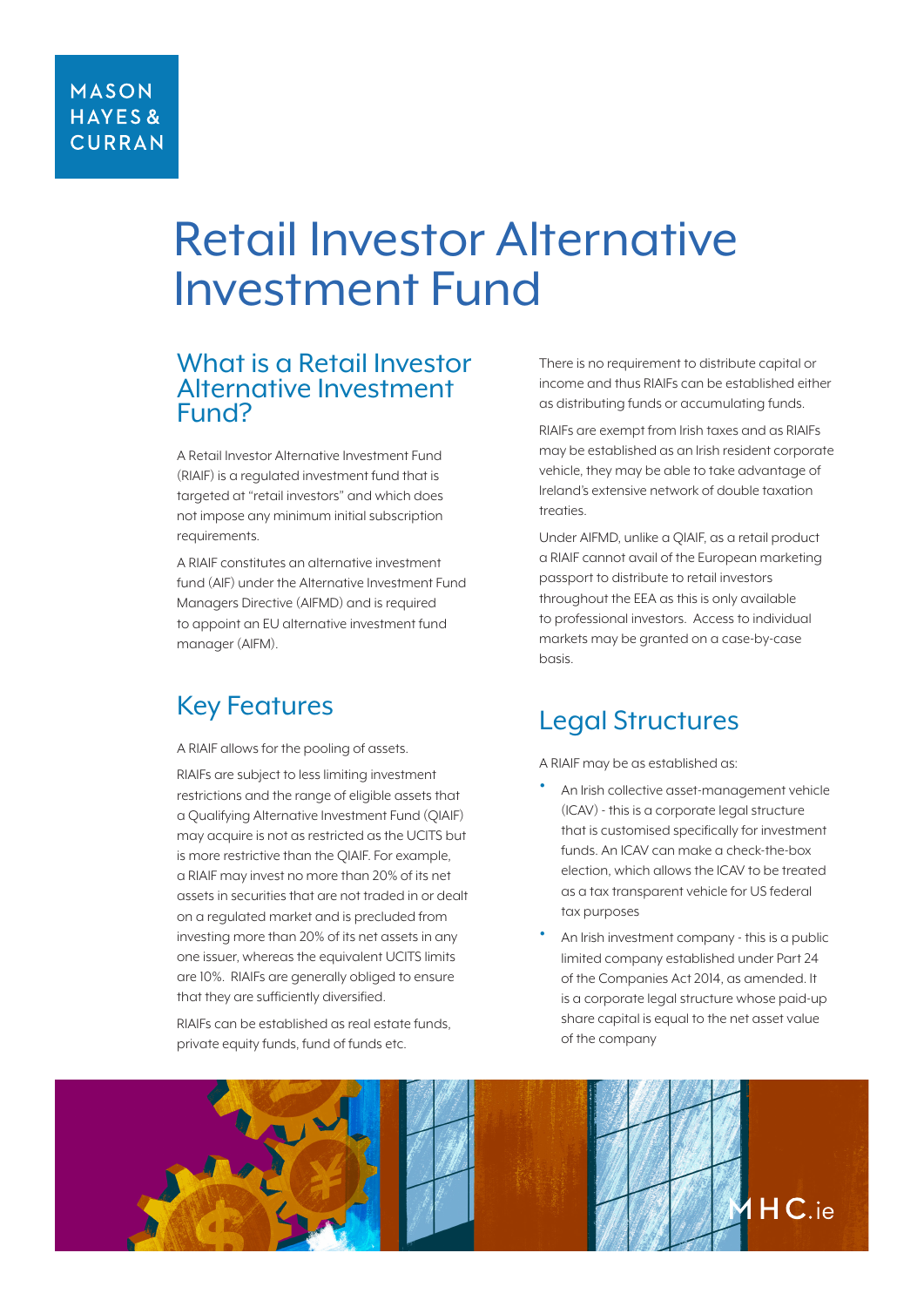### **MASON HAYES& CURRAN**

# Retail Investor Alternative Investment Fund

### What is a Retail Investor Alternative Investment Fund?

A Retail Investor Alternative Investment Fund (RIAIF) is a regulated investment fund that is targeted at "retail investors" and which does not impose any minimum initial subscription requirements.

A RIAIF constitutes an alternative investment fund (AIF) under the Alternative Investment Fund Managers Directive (AIFMD) and is required to appoint an EU alternative investment fund manager (AIFM).

# Key Features

A RIAIF allows for the pooling of assets.

RIAIFs are subject to less limiting investment restrictions and the range of eligible assets that a Qualifying Alternative Investment Fund (QIAIF) may acquire is not as restricted as the UCITS but is more restrictive than the QIAIF. For example, a RIAIF may invest no more than 20% of its net assets in securities that are not traded in or dealt on a regulated market and is precluded from investing more than 20% of its net assets in any one issuer, whereas the equivalent UCITS limits are 10%. RIAIFs are generally obliged to ensure that they are sufficiently diversified.

RIAIFs can be established as real estate funds, private equity funds, fund of funds etc.

There is no requirement to distribute capital or income and thus RIAIFs can be established either as distributing funds or accumulating funds.

RIAIFs are exempt from Irish taxes and as RIAIFs may be established as an Irish resident corporate vehicle, they may be able to take advantage of Ireland's extensive network of double taxation treaties.

Under AIFMD, unlike a QIAIF, as a retail product a RIAIF cannot avail of the European marketing passport to distribute to retail investors throughout the EEA as this is only available to professional investors. Access to individual markets may be granted on a case-by-case hasis

# Legal Structures

A RIAIF may be as established as:

- An Irish collective asset-management vehicle (ICAV) - this is a corporate legal structure that is customised specifically for investment funds. An ICAV can make a check-the-box election, which allows the ICAV to be treated as a tax transparent vehicle for US federal tax purposes
- An Irish investment company this is a public limited company established under Part 24 of the Companies Act 2014, as amended. It is a corporate legal structure whose paid-up share capital is equal to the net asset value of the company